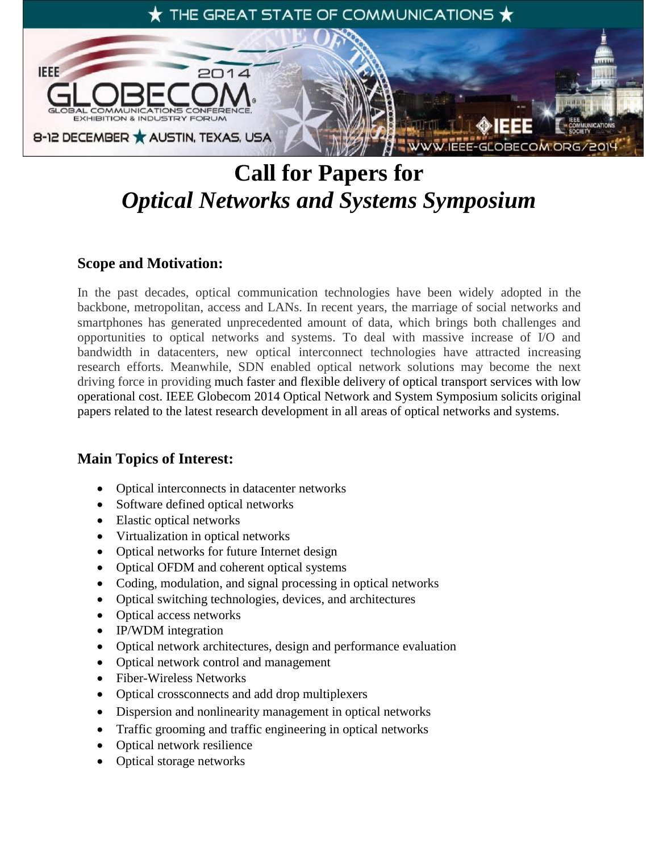

# **Call for Papers for** *Optical Networks and Systems Symposium*

# **Scope and Motivation:**

In the past decades, optical communication technologies have been widely adopted in the backbone, metropolitan, access and LANs. In recent years, the marriage of social networks and smartphones has generated unprecedented amount of data, which brings both challenges and opportunities to optical networks and systems. To deal with massive increase of I/O and bandwidth in datacenters, new optical interconnect technologies have attracted increasing research efforts. Meanwhile, SDN enabled optical network solutions may become the next driving force in providing much faster and flexible delivery of optical transport services with low operational cost. IEEE Globecom 2014 Optical Network and System Symposium solicits original papers related to the latest research development in all areas of optical networks and systems.

# **Main Topics of Interest:**

- Optical interconnects in datacenter networks
- Software defined optical networks
- Elastic optical networks
- Virtualization in optical networks
- Optical networks for future Internet design
- Optical OFDM and coherent optical systems
- Coding, modulation, and signal processing in optical networks
- Optical switching technologies, devices, and architectures
- Optical access networks
- IP/WDM integration
- Optical network architectures, design and performance evaluation
- Optical network control and management
- Fiber-Wireless Networks
- Optical crossconnects and add drop multiplexers
- Dispersion and nonlinearity management in optical networks
- Traffic grooming and traffic engineering in optical networks
- Optical network resilience
- Optical storage networks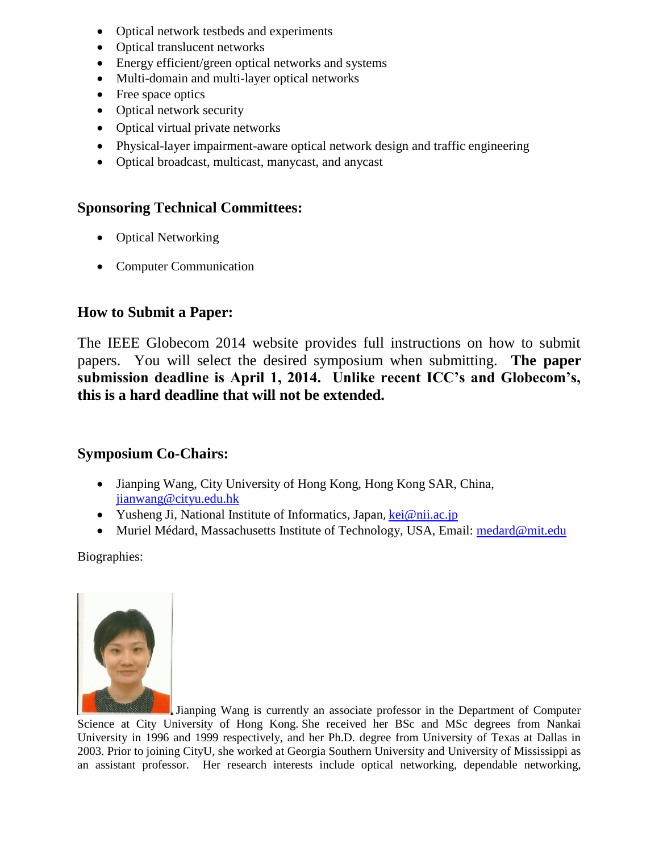- Optical network testbeds and experiments
- Optical translucent networks
- Energy efficient/green optical networks and systems
- Multi-domain and multi-layer optical networks
- Free space optics
- Optical network security
- Optical virtual private networks
- Physical-layer impairment-aware optical network design and traffic engineering
- Optical broadcast, multicast, manycast, and anycast

#### **Sponsoring Technical Committees:**

- Optical Networking
- Computer Communication

# **How to Submit a Paper:**

The IEEE Globecom 2014 website provides full instructions on how to submit papers. You will select the desired symposium when submitting. **The paper submission deadline is April 1, 2014. Unlike recent ICC's and Globecom's, this is a hard deadline that will not be extended.**

# **Symposium Co-Chairs:**

- Jianping Wang, City University of Hong Kong, Hong Kong SAR, China, [jianwang@cityu.edu.hk](mailto:jianwang@cityu.edu.hk)
- Yusheng Ji, National Institute of Informatics, Japan, [kei@nii.ac.jp](mailto:kei@nii.ac.jp)
- Muriel Médard, Massachusetts Institute of Technology, USA, Email: [medard@mit.edu](mailto:medard@mit.edu)

Biographies:



Jianping Wang is currently an associate professor in the Department of Computer Science at City University of Hong Kong. She received her BSc and MSc degrees from Nankai University in 1996 and 1999 respectively, and her Ph.D. degree from University of Texas at Dallas in 2003. Prior to joining CityU, she worked at Georgia Southern University and University of Mississippi as an assistant professor. Her research interests include optical networking, dependable networking,